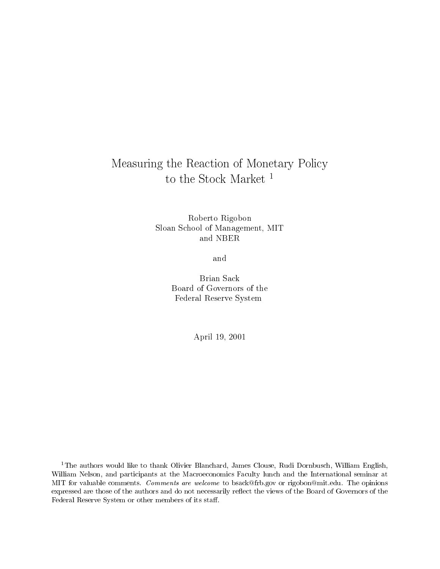# Measuring the Reaction of Monetary Policy to the Stock Market <sup>1</sup>

Roberto Rigobon Sloan School of Management, MIT and NBER

and

Brian Sack Board of Governors of the Federal Reserve System

April 19, 2001

1The authors would like to thank Olivier Blanchard, James Clouse, Rudi Dornbusch, William English, William Nelson, and participants at the Macroeconomics Faculty lunch and the International seminar at MIT for valuable comments. Comments are welcome to bsack@frb.gov or rigobon@mit.edu. The opinions expressed are those of the authors and do not necessarily re
ect the views of the Board of Governors of theFederal Reserve System or other members of its staff.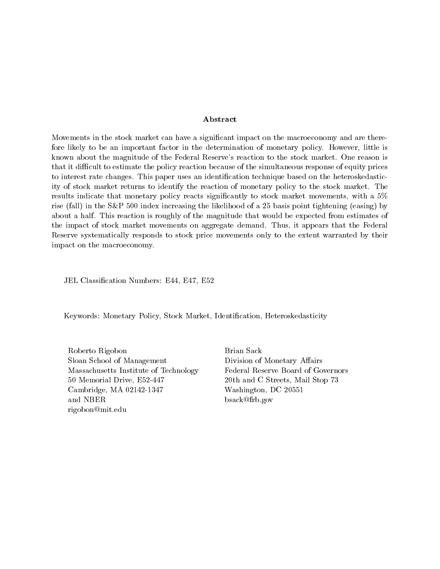# Abstract

Movements in the stock market can have a signicant impact on the macroeconomy and are therefore likely to be an important factor in the determination of monetary policy. However, little is known about the magnitude of the Federal Reserve's reaction to the stock market. One reason is that it difficult to estimate the policy reaction because of the simultaneous response of equity prices to interest rate changes. This paper uses an identication technique based on the heteroskedasticity of stock market returns to identify the reaction of monetary policy to the stock market. The results indicate that monetary policy reacts significantly to stock market movements, with a  $5\%$ rise (fall) in the S&P 500 index increasing the likelihood of a 25 basis point tightening (easing) by about a half. This reaction is roughly of the magnitude that would be expected from estimates of the impact of stock market movements on aggregate demand. Thus, it appears that the Federal Reserve systematically responds to stock price movements only to the extent warranted by their impact on the macroeconomy.

JEL Classication Numbers: E44, E47, E52

Keywords: Monetary Policy, Stock Market, Identication, Heteroskedasticity

Roberto Rigobon Sloan School of Management Division of Monetary Affairs Massachusetts Institute of Technology Federal Reserve Board of Governors 50 Memorial Drive, E52-447 20th and C Streets, Mail Stop 73 Cambridge, MA 02142-1347 Washington, DC 20551 and NBER bsack@frb.gov rigobon@mit.edu

Brian Sack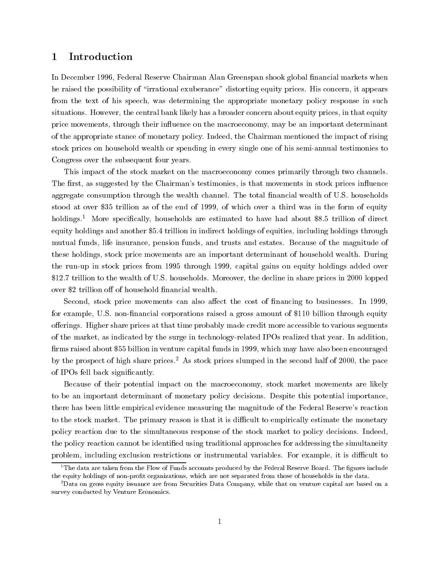# 1Introduction

In December 1996, Federal Reserve Chairman Alan Greenspan shook global financial markets when he raised the possibility of \irrational exuberance" distorting equity prices. His concern, it appears from the text of his speech, was determining the appropriate monetary policy response in such situations. However, the central bank likely has a broader concern about equity prices, in that equity price movements, through their influence on the macroeconomy, may be an important determinant of the appropriate stance of monetary policy. Indeed, the Chairman mentioned the impact of rising stock prices on household wealth or spending in every single one of his semi-annual testimonies to Congress over the subsequent four years.

This impact of the stock market on the macroeconomy comes primarily through two channels. The first, as suggested by the Chairman's testimonies, is that movements in stock prices influence aggregate consumption through the wealth channel. The total financial wealth of U.S. households stood at over \$35 trillion as of the end of 1999, of which over a third was in the form of equity holdings.<sup>1</sup> More specifically, households are estimated to have had about \$8.5 trillion of direct equity holdings and another \$5.4 trillion in indirect holdings of equities, including holdings through mutual funds, life insurance, pension funds, and trusts and estates. Because of the magnitude of these holdings, stock price movements are an important determinant of household wealth. During the run-up in stock prices from 1995 through 1999, capital gains on equity holdings added over \$12.7 trillion to the wealth of U.S. households. Moreover, the decline in share prices in 2000 lopped over \$2 trillion off of household financial wealth.

Second, stock price movements can also affect the cost of financing to businesses. In 1999, for example, U.S. non-financial corporations raised a gross amount of \$110 billion through equity offerings. Higher share prices at that time probably made credit more accessible to various segments of the market, as indicated by the surge in technology-related IPOs realized that year. In addition, firms raised about \$55 billion in venture capital funds in 1999, which may have also been encouraged by the prospect of high share prices.<sup>2</sup> As stock prices slumped in the second half of 2000, the pace of IPOs fell back signicantly.

Because of their potential impact on the macroeconomy, stock market movements are likely to be an important determinant of monetary policy decisions. Despite this potential importance, there has been little empirical evidence measuring the magnitude of the Federal Reserve's reaction to the stock market. The primary reason is that it is difficult to empirically estimate the monetary policy reaction due to the simultaneous response of the stock market to policy decisions. Indeed, the policy reaction cannot be identied using traditional approaches for addressing the simultaneity problem, including exclusion restrictions or instrumental variables. For example, it is difficult to

 $^{\rm I}$ The data are taken from the Flow of Funds accounts produced by the Federal Reserve Board. The figures include the equity holdings of non-prot organizations, which are not separated from those of households in the data.

<sup>&</sup>lt;sup>2</sup>Data on gross equity issuance are from Securities Data Company, while that on venture capital are based on a survey conducted by Venture Economics.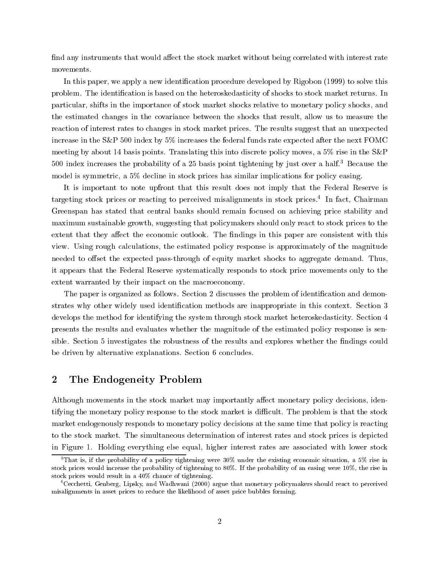find any instruments that would affect the stock market without being correlated with interest rate movements.

In this paper, we apply a new identication procedure developed by Rigobon (1999) to solve this problem. The identication is based on the heteroskedasticity of shocks to stock market returns. In particular, shifts in the importance of stock market shocks relative to monetary policy shocks, and the estimated changes in the covariance between the shocks that result, allow us to measure the reaction of interest rates to changes in stock market prices. The results suggest that an unexpected increase in the S&P 500 index by 5% increases the federal funds rate expected after the next FOMC meeting by about 14 basis points. Translating this into discrete policy moves, a 5% rise in the S&P 500 index increases the probability of a 25 basis point tightening by just over a half.3 Because the model is symmetric, a 5% decline in stock prices has similar implications for policy easing.

It is important to note upfront that this result does not imply that the Federal Reserve is  $\tt{targeting stock prices or reaching to perceiveed misaug numbers in stock prices. In fact, Chairmain$ Greenspan has stated that central banks should remain focused on achieving price stability and maximum sustainable growth, suggesting that policymakers should only react to stock prices to the extent that they affect the economic outlook. The findings in this paper are consistent with this view. Using rough calculations, the estimated policy response is approximately of the magnitude needed to offset the expected pass-through of equity market shocks to aggregate demand. Thus, it appears that the Federal Reserve systematically responds to stock price movements only to the extent warranted by their impact on the macroeconomy.

The paper is organized as follows. Section 2 discusses the problem of identication and demonstrates why other widely used identification methods are inappropriate in this context. Section 3 develops the method for identifying the system through stock market heteroskedasticity. Section 4 presents the results and evaluates whether the magnitude of the estimated policy response is sensible. Section 5 investigates the robustness of the results and explores whether the findings could be driven by alternative explanations. Section 6 concludes.

# 2The Endogeneity Problem

Although movements in the stock market may importantly affect monetary policy decisions, identifying the monetary policy response to the stock market is difficult. The problem is that the stock market endogenously responds to monetary policy decisions at the same time that policy is reacting to the stock market. The simultaneous determination of interest rates and stock prices is depicted in Figure 1. Holding everything else equal, higher interest rates are associated with lower stock

<sup>&</sup>lt;sup>3</sup>That is, if the probability of a policy tightening were 30% under the existing economic situation, a 5% rise in stock prices would increase the probability of tightening to 80%. If the probability of an easing were 10%, the rise in stock prices would result in a 40% chance of tightening.

<sup>4</sup>Cecchetti, Genberg, Lipsky, and Wadhwani (2000) argue that monetary policymakers should react to perceived misalignments in asset prices to reduce the likelihood of asset price bubbles forming.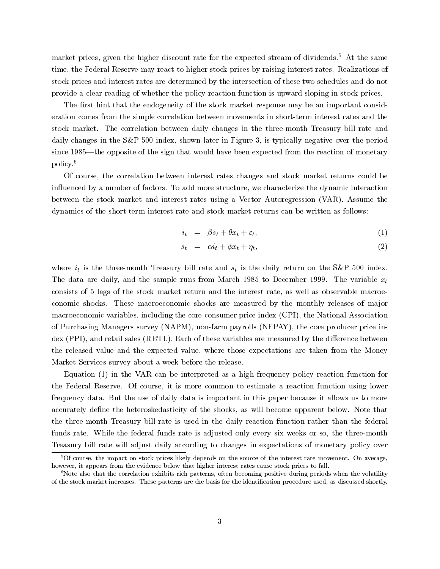market prices, given the higher discount rate for the expected stream of dividends.<sup>5</sup> At the same time, the Federal Reserve may react to higher stock prices by raising interest rates. Realizations of stock prices and interest rates are determined by the intersection of these two schedules and do not provide a clear reading of whether the policy reaction function is upward sloping in stock prices.

The first hint that the endogeneity of the stock market response may be an important consideration comes from the simple correlation between movements in short-term interest rates and the stock market. The correlation between daily changes in the three-month Treasury bill rate and daily changes in the S&P 500 index, shown later in Figure 3, is typically negative over the period since 1985—the opposite of the sign that would have been expected from the reaction of monetary policy.6

Of course, the correlation between interest rates changes and stock market returns could be in
uenced byanumber of factors. To add more structure, we characterize the dynamic interaction between the stock market and interest rates using a Vector Autoregression (VAR). Assume the dynamics of the short-term interest rate and stock market returns can be written as follows:

$$
i_t = \beta s_t + \theta x_t + \varepsilon_t, \tag{1}
$$

$$
s_t = \alpha i_t + \phi x_t + \eta_t, \tag{2}
$$

where  $\cdot$  is the three-month Treasury billiary bill and state  $\cdot$   $\cdot$  is the daily returned the S&OP 500 induction. The data are daily, and the sample runs from March 1985 to December 1999. The variable  $x_t$ consists of 5 lags of the stock market return and the interest rate, as well as observable macroeconomic shocks. These macroeconomic shocks are measured by the monthly releases of major macroeconomic variables, including the core consumer price index (CPI), the National Association of Purchasing Managers survey (NAPM), non-farm payrolls (NFPAY), the core producer price index (PPI), and retail sales (RETL). Each of these variables are measured by the difference between the released value and the expected value, where those expectations are taken from the Money Market Services survey about a week before the release.

Equation (1) in the VAR can be interpreted as a high frequency policy reaction function for the Federal Reserve. Of course, it is more common to estimate a reaction function using lower frequency data. But the use of daily data is important in this paper because it allows us to more accurately define the heteroskedasticity of the shocks, as will become apparent below. Note that the three-month Treasury billrate is used in the daily reaction function rather than the federal funds rate. While the federal funds rate is adjusted only every six weeks or so, the three-month Treasury bill rate will adjust daily according to changes in expectations of monetary policy over

 $5$ Of course, the impact on stock prices likely depends on the source of the interest rate movement. On average, however, it appears from the evidence below that higher interest rates cause stock prices to fall.

 $6$ Note also that the correlation exhibits rich patterns, often becoming positive during periods when the volatility of the stock market increases. These patterns are the basis for the identication procedure used, as discussed shortly.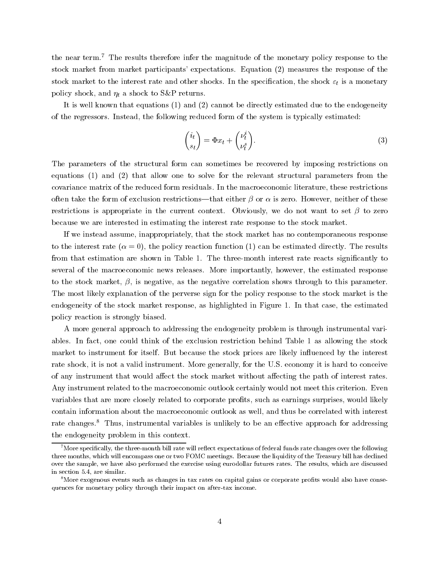the near term.7 The results therefore infer the magnitude of the monetary policy response to the stock market from market participants' expectations. Equation (2) measures the response of the stock matrix matrix matrix matrix  $\mathbb{P}$  the shock to the species  $\mathbb{P}$  is a monetary the shock the species of is a monetary the shock the shock the shock the shock the shock the shock the shock the shock the shock t policy shock, and the shock to S&P returns. The shock to S&P returns. The shock to S&P returns. The shock to S

It is well known that equations (1) and (2) cannot be directly estimated due to the endogeneity of the regressors. Instead, the following reduced form of the system is typically estimated:

$$
\begin{pmatrix} i_t \\ s_t \end{pmatrix} = \Phi x_t + \begin{pmatrix} \nu_t^i \\ \nu_t^s \end{pmatrix}.
$$
 (3)

The parameters of the structural form can sometimes be recovered by imposing restrictions on equations (1) and (2) that allow one to solve for the relevant structural parameters from the covariance matrix of the reduced form residuals. In the macroeconomic literature, these restrictions often take the form of exclusion restrictions—that either  $\beta$  or  $\alpha$  is zero. However, neither of these restrictions is appropriate in the current context. Obviously, we do not want to set  $\beta$  to zero because we are interested in estimating the interest rate response to the stock market.

If we instead assume, inappropriately, that the stock market has no contemporaneous response to the interest rate  $(\alpha = 0)$ , the policy reaction function (1) can be estimated directly. The results from that estimation are shown in Table 1. The three-month interest rate reacts significantly to several of the macroeconomic news releases. More importantly, however, the estimated response to the stock market,  $\beta$ , is negative, as the negative correlation shows through to this parameter. The most likely explanation of the perverse sign for the policy response to the stock market is the endogeneity of the stock market response, as highlighted in Figure 1. In that case, the estimated policy reaction is strongly biased.

A more general approach to addressing the endogeneity problem is through instrumental variables. In fact, one could think of the exclusion restriction behind Table 1 as allowing the stock market to instrument for itself. But because the stock prices are likely influenced by the interest rate shock, it is not a valid instrument. More generally, for the U.S. economy it is hard to conceive of any instrument that would affect the stock market without affecting the path of interest rates. Any instrument related to the macroeconomic outlook certainly would not meet this criterion. Even variables that are more closely related to corporate prots, such as earnings surprises, would likely contain information about the macroeconomic outlook as well, and thus be correlated with interest rate changes.<sup>8</sup> Thus, instrumental variables is unlikely to be an effective approach for addressing the endogeneity problem in this context.

 $^7$ More specifically, the three-month bill rate will reflect expectations of federal funds rate changes over the following three months, which will encompass one or two FOMC meetings. Because the liquidity of the Treasury bill has declined over the sample, we have also performed the exercise using eurodollar futures rates. The results, which are discussed in section 5.4, are similar.

<sup>&</sup>lt;sup>8</sup>More exogenous events such as changes in tax rates on capital gains or corporate profits would also have consequences for monetary policy through their impact on after-tax income.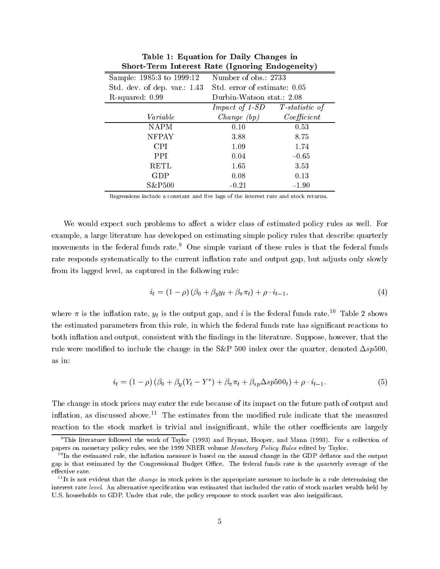|                                | ັ                            |                |
|--------------------------------|------------------------------|----------------|
| Sample: 1985:3 to 1999:12      | Number of obs.: 2733         |                |
| Std. dev. of dep. var.: $1.43$ | Std. error of estimate: 0.05 |                |
| R-squared: 0.99                | Durbin-Watson stat.: 2.08    |                |
|                                | <i>Impact of 1-SD</i>        | T-statistic of |
| Variable                       | Change (bp)                  | Coefficient    |
| NAPM                           | 0.10                         | 0.53           |
| <b>NFPAY</b>                   | 3.88                         | 8.75           |
| <b>CPI</b>                     | 1.09                         | 1.74           |
| <b>PPI</b>                     | 0.04                         | $-0.65$        |
| RETL                           | 1.65                         | 3.53           |
| GDP                            | 0.08                         | 0.13           |
| S&P500                         | $-0.21$                      | $-1.90$        |

Table 1: Equation for Daily Changes in Short-Term Interest Rate (Ignoring Endogeneity)

Regressions include a constant and five lags of the interest rate and stock returns.

We would expect such problems to affect a wider class of estimated policy rules as well. For example, a large literature has developed on estimating simple policy rules that describe quarterly movements in the federal funds rate.<sup>9</sup> One simple variant of these rules is that the federal funds rate responds systematically to the current inflation rate and output gap, but adjusts only slowly from its lagged level, as captured in the following rule:

$$
i_t = (1 - \rho) \left( \beta_0 + \beta_y y_t + \beta_\pi \pi_t \right) + \rho \cdot i_{t-1}, \tag{4}
$$

where  $\pi$  is the inhation rate,  $y_t$  is the output gap, and  $i$  is the federal funds rate. 1 Table 2 shows the estimated parameters from this rule, in which the federal funds rate has significant reactions to both inflation and output, consistent with the findings in the literature. Suppose, however, that the rule were modified to include the change in the S&P 500 index over the quarter, denoted  $\Delta sp500$ , as in:

$$
i_t = (1 - \rho) (\beta_0 + \beta_y (Y_t - Y^*) + \beta_\pi \pi_t + \beta_{sp} \Delta sp500_t) + \rho \cdot i_{t-1}.
$$
 (5)

The change in stock prices may enter the rule because of its impact on the future path of output and inflation, as discussed above.<sup>11</sup> The estimates from the modified rule indicate that the measured reaction to the stock market is trivial and insignificant, while the other coefficients are largely

<sup>9</sup>This literature followed the work of Taylor (1993) and Bryant, Hooper, and Mann (1993). For a collection of papers on monetary policy rules, see the 1999 NBER volume Monetary Policy Rules edited by Taylor.

 $\lceil \cdot \rceil$ in the estimated rule, the inflation measure is based on the annual change in the GDP deflator and the output gap is that estimated by the Congressional Budget Office. The federal funds rate is the quarterly average of the effective rate.

<sup>11</sup> It is not evident that the change in stock prices is the appropriate measure to include in a rule determining the interest rate level. An alternative specification was estimated that included the ratio of stock market wealth held by U.S. households to GDP. Under that rule, the policy response to stock market was also insignificant.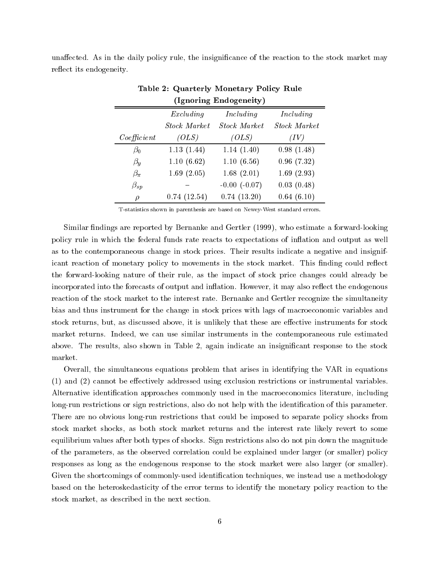unaffected. As in the daily policy rule, the insignificance of the reaction to the stock market may reflect its endogeneity.

|               |                     | (Ignoring Endogeneity) |                     |
|---------------|---------------------|------------------------|---------------------|
|               | Excluding           | Including              | Including           |
|               | <b>Stock Market</b> | <b>Stock Market</b>    | <b>Stock Market</b> |
| Coefficient   | (OLS)               | (OLS)                  | (IV)                |
| $\beta_0$     | 1.13(1.44)          | 1.14(1.40)             | 0.98(1.48)          |
| $\beta_y$     | 1.10(6.62)          | 1.10(6.56)             | 0.96(7.32)          |
| $\beta_{\pi}$ | 1.69(2.05)          | 1.68(2.01)             | 1.69(2.93)          |
| $\beta_{sp}$  |                     | $-0.00$ $(-0.07)$      | 0.03(0.48)          |
| $\rho$        | 0.74(12.54)         | 0.74(13.20)            | 0.64(6.10)          |

Table 2: Quarterly Monetary Policy Rule  $\mathbf{r}$  $\mathbf{A}$ 

T-statistics shown in parenthesis are based on Newey-West standard errors.

Similar findings are reported by Bernanke and Gertler (1999), who estimate a forward-looking policy rule in which the federal funds rate reacts to expectations of inflation and output as well as to the contemporaneous change in stock prices. Their results indicate a negative and insignificant reaction of monetary policy to movements in the stock market. This finding could reflect the forward-looking nature of their rule, as the impact of stock price changes could already be incorporated into the forecasts of output and inflation. However, it may also reflect the endogenous reaction of the stock market to the interest rate. Bernanke and Gertler recognize the simultaneity bias and thus instrument for the change in stock prices with lags of macroeconomic variables and stock returns, but, as discussed above, it is unlikely that these are effective instruments for stock market returns. Indeed, we can use similar instruments in the contemporaneous rule estimated above. The results, also shown in Table 2, again indicate an insignificant response to the stock market.

Overall, the simultaneous equations problem that arises in identifying the VAR in equations (1) and (2) cannot be eectively addressed using exclusion restrictions or instrumental variables. Alternative identication approaches commonly used in the macroeconomics literature, including long-run restrictions or sign restrictions, also do not help with the identification of this parameter. There are no obvious long-run restrictions that could be imposed to separate policy shocks from stock market shocks, as both stock market returns and the interest rate likely revert to some equilibrium values after both types of shocks. Sign restrictions also do not pin down the magnitude of the parameters, as the observed correlation could be explained under larger (or smaller) policy responses as long as the endogenous response to the stock market were also larger (or smaller). Given the shortcomings of commonly-used identification techniques, we instead use a methodology based on the heteroskedasticity of the error terms to identify the monetary policy reaction to the stock market, as described in the next section.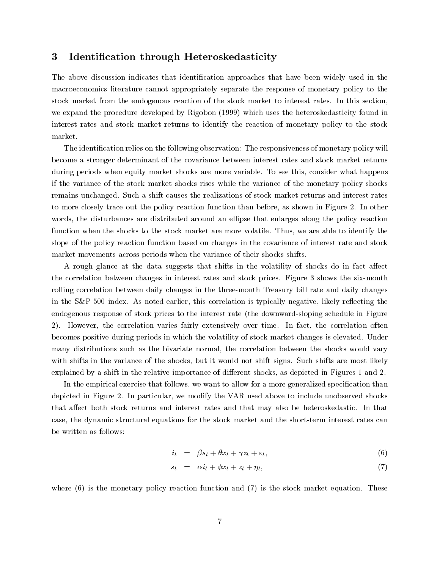# 3Identication through Heteroskedasticity

The above discussion indicates that identification approaches that have been widely used in the macroeconomics literature cannot appropriately separate the response of monetary policy to the stock market from the endogenous reaction of the stock market to interest rates. In this section, we expand the procedure developed by Rigobon (1999) which uses the heteroskedasticity found in interest rates and stock market returns to identify the reaction of monetary policy to the stock market.

The identification relies on the following observation: The responsiveness of monetary policy will become a stronger determinant of the covariance between interest rates and stock market returns during periods when equity market shocks are more variable. To see this, consider what happens if the variance of the stock market shocks rises while the variance of the monetary policy shocks remains unchanged. Such a shift causes the realizations of stock market returns and interest rates to more closely trace out the policy reaction function than before, as shown in Figure 2. In other words, the disturbances are distributed around an ellipse that enlarges along the policy reaction function when the shocks to the stock market are more volatile. Thus, we are able to identify the slope of the policy reaction function based on changes in the covariance of interest rate and stock market movements across periods when the variance of their shocks shifts.

A rough glance at the data suggests that shifts in the volatility of shocks do in fact affect the correlation between changes in interest rates and stock prices. Figure 3 shows the six-month rolling correlation between daily changes in the three-month Treasury bill rate and daily changes in the  $S\&P$  500 index. As noted earlier, this correlation is typically negative, likely reflecting the endogenous response of stock prices to the interest rate (the downward-sloping schedule in Figure 2). However, the correlation varies fairly extensively over time. In fact, the correlation often becomes positive during periods in which the volatility of stock market changes is elevated. Under many distributions such as the bivariate normal, the correlation between the shocks would vary with shifts in the variance of the shocks, but it would not shift signs. Such shifts are most likely explained by a shift in the relative importance of different shocks, as depicted in Figures 1 and 2.

In the empirical exercise that follows, we want to allow for a more generalized specification than depicted in Figure 2. In particular, we modify the VAR used above to include unobserved shocks that affect both stock returns and interest rates and that may also be heteroskedastic. In that case, the dynamic structural equations for the stock market and the short-term interest rates can be written as follows:

$$
i_t = \beta s_t + \theta x_t + \gamma z_t + \varepsilon_t, \tag{6}
$$

$$
s_t = \alpha i_t + \phi x_t + z_t + \eta_t, \tag{7}
$$

where  $(6)$  is the monetary policy reaction function and  $(7)$  is the stock market equation. These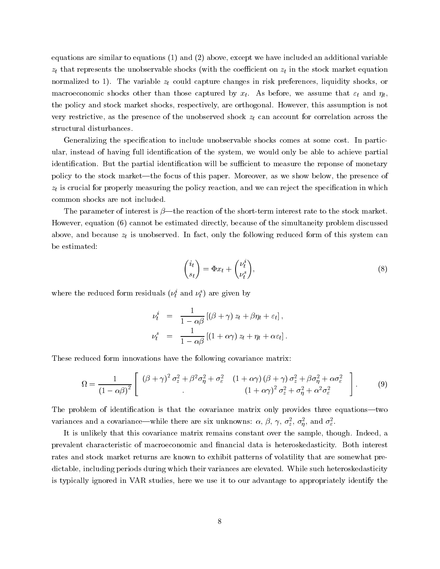equations are similar to equations (1) and (2) above, except we have included an additional variable  $\mathbf{v}$  that represents the unobservable shocks (with the stock matrix matrix matrix matrix matrix matrix matrix matrix matrix matrix matrix matrix matrix matrix matrix matrix matrix matrix matrix matrix matrix matrix ma normalized to 1). The variable zt could capture changes in risk preferences, liquidity shocks, or macroeconomic shocks other than the those captured by  $\alpha$  and the  $\alpha$  -t and t  $\alpha$ the policy and stock market shocks, respectively, are orthogonal. However, this assumption is not very restrictive, as the presence of the unobserved shock zt can account for correlation across the structural disturbances.

Generalizing the specication to include unobservable shocks comes at some cost. In particular, instead of having full identication of the system, we would only be able to achieve partial identification. But the partial identification will be sufficient to measure the reponse of monetary policy to the stock market—the focus of this paper. Moreover, as we show below, the presence of zt is crucial for properly measuring the policy reaction, and we can reject the specication in which common shocks are not included.

The parameter of interest is  $\beta$ —the reaction of the short-term interest rate to the stock market. However, equation (6) cannot be estimated directly, because of the simultaneity problem discussed above, and because  $\alpha$  is uncertainty reduced for the following reduced form of this year  $\alpha$ be estimated:

$$
\begin{pmatrix} i_t \\ s_t \end{pmatrix} = \Phi x_t + \begin{pmatrix} \nu_t^i \\ \nu_t^s \end{pmatrix},\tag{8}
$$

where the reduced form residuals ( $\nu_t$  and  $\nu_t$ ) are given by

$$
\nu_t^i = \frac{1}{1 - \alpha \beta} [(\beta + \gamma) z_t + \beta \eta_t + \varepsilon_t],
$$
  

$$
\nu_t^s = \frac{1}{1 - \alpha \beta} [(1 + \alpha \gamma) z_t + \eta_t + \alpha \varepsilon_t].
$$

These reduced form innovations have the following covariance matrix:

$$
\Omega = \frac{1}{\left(1 - \alpha \beta\right)^2} \left[ \begin{array}{cc} \left(\beta + \gamma\right)^2 \sigma_z^2 + \beta^2 \sigma_\eta^2 + \sigma_\varepsilon^2 & \left(1 + \alpha \gamma\right) \left(\beta + \gamma\right) \sigma_z^2 + \beta \sigma_\eta^2 + \alpha \sigma_\varepsilon^2 \\ \cdot & \left(1 + \alpha \gamma\right)^2 \sigma_z^2 + \sigma_\eta^2 + \alpha^2 \sigma_\varepsilon^2 \end{array} \right]. \tag{9}
$$

The problem of identification is that the covariance matrix only provides three equations—two variances and a covariance—while there are six unknowns:  $\alpha, \beta, \gamma, \sigma_z, \sigma_\eta$ , and  $\sigma_\varepsilon$ .

It is unlikely that this covariance matrix remains constant over the sample, though. Indeed, a prevalent characteristic of macroeconomic and nancial data is heteroskedasticity. Both interest rates and stock market returns are known to exhibit patterns of volatility that are somewhat predictable, including periods during which their variances are elevated. While such heteroskedasticity is typically ignored in VAR studies, here we use it to our advantage to appropriately identify the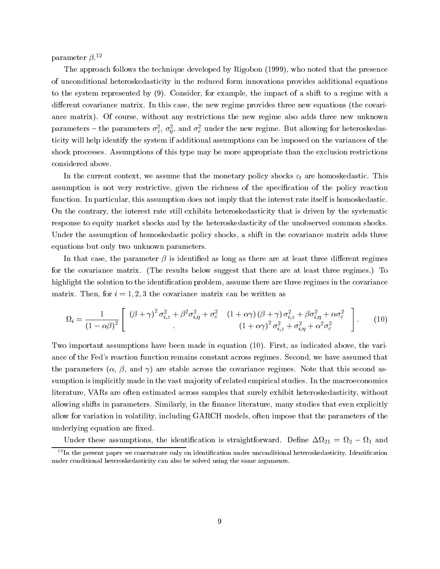parameter  $\beta$ .<sup>12</sup>

The approach follows the technique developed by Rigobon (1999), who noted that the presence of unconditional heteroskedasticity in the reduced form innovations provides additional equations to the system represented by (9). Consider, for example, the impact of a shift to a regime with a different covariance matrix. In this case, the new regime provides three new equations (the covariance matrix). Of course, without any restrictions the new regime also adds three new unknown parameters – the parameters  $\sigma_z$ ,  $\sigma_{\eta}$ , and  $\sigma_{\varepsilon}$  under the new regime. But allowing for heteroskedasticity will help identify the system if additional assumptions can be imposed on the variances of the shock processes. Assumptions of this type may be more appropriate than the exclusion restrictions considered above.

In the current context, we assume that the monetary policy shocks "t are homoskedastic. This assumption is not very restrictive, given the richness of the specication of the policy reaction function. In particular, this assumption does not imply that the interest rate itself is homoskedastic. On the contrary, the interest rate still exhibits heteroskedasticity that is driven by the systematic response to equity market shocks and by the heteroskedasticity of the unobserved common shocks. Under the assumption of homoskedastic policy shocks, a shift in the covariance matrix adds three equations but only two unknown parameters.

In that case, the parameter  $\beta$  is identified as long as there are at least three different regimes for the covariance matrix. (The results below suggest that there are at least three regimes.) To highlight the solution to the identification problem, assume there are three regimes in the covariance matrix. Then, for  $i = 1, 2, 3$  the covariance matrix can be written as

$$
\Omega_{i} = \frac{1}{\left(1 - \alpha\beta\right)^{2}} \left[ \begin{array}{cc} \left(\beta + \gamma\right)^{2} \sigma_{i,z}^{2} + \beta^{2} \sigma_{i,\eta}^{2} + \sigma_{\varepsilon}^{2} & \left(1 + \alpha\gamma\right)\left(\beta + \gamma\right) \sigma_{i,z}^{2} + \beta\sigma_{i,\eta}^{2} + \alpha\sigma_{\varepsilon}^{2} \\ \cdot & \left(1 + \alpha\gamma\right)^{2} \sigma_{i,z}^{2} + \sigma_{i,\eta}^{2} + \alpha^{2} \sigma_{\varepsilon}^{2} \end{array} \right]. \tag{10}
$$

Two important assumptions have been made in equation (10). First, as indicated above, the variance of the Fed's reaction function remains constant across regimes. Second, we have assumed that the parameters  $(\alpha, \beta, \text{ and } \gamma)$  are stable across the covariance regimes. Note that this second assumption is implicitly made in the vast majority of related empirical studies. In the macroeconomics literature, VARs are often estimated across samples that surely exhibit heteroskedasticity, without allowing shifts in parameters. Similarly, in the finance literature, many studies that even explicitly allow for variation in volatility, including GARCH models, often impose that the parameters of the underlying equation are fixed.

Under these assumptions, the identification is straightforward. Define  $\Delta \Omega_{21} = \Omega_2 = \Omega_1$  and tion the present paper we concentrate only on identification under unconditional neteroskedasticity. Identification

under conditional heteroskedasticity can also be solved using the same arguments.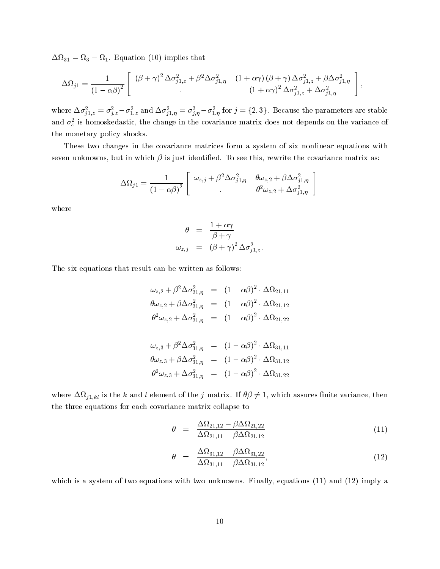$\Delta_3^{1} = 323 - 321$ . Equation (10) implies that

$$
\Delta\Omega_{j1} = \frac{1}{\left(1 - \alpha\beta\right)^2} \left[ \begin{array}{cc} \left(\beta + \gamma\right)^2 \Delta\sigma_{j1,z}^2 + \beta^2 \Delta\sigma_{j1,\eta}^2 & \left(1 + \alpha\gamma\right)\left(\beta + \gamma\right) \Delta\sigma_{j1,z}^2 + \beta\Delta\sigma_{j1,\eta}^2 \\ \cdot & \left(1 + \alpha\gamma\right)^2 \Delta\sigma_{j1,z}^2 + \Delta\sigma_{j1,\eta}^2 \end{array} \right],
$$

where  $\Delta\sigma_{j_1z}^2=\sigma_{j_z}^2-\sigma_{1,z}^2$  and  $\Delta\sigma_{j_1,\eta}^2=\sigma_{j,\eta}^2-\sigma_{1,\eta}^2$  for  $j=\{2,3\}$ . Because the parameters are stable and  $\sigma_{\varepsilon}$  is homoskedastic, the change in the covariance matrix does not depends on the variance of the monetary policy shocks.

These two changes in the covariance matrices form a system of six nonlinear equations with seven unknowns, but in which  $\beta$  is just identified. To see this, rewrite the covariance matrix as:

$$
\Delta \Omega_{j1} = \frac{1}{\left(1 - \alpha \beta\right)^2} \left[ \begin{array}{cc} \omega_{z,j} + \beta^2 \Delta \sigma_{j1,\eta}^2 & \theta \omega_{z,2} + \beta \Delta \sigma_{j1,\eta}^2 \\ . & \theta^2 \omega_{z,2} + \Delta \sigma_{j1,\eta}^2 \end{array} \right]
$$

where

$$
\theta = \frac{1 + \alpha \gamma}{\beta + \gamma}
$$
  

$$
\omega_{z,j} = (\beta + \gamma)^2 \Delta \sigma_{j1,z}^2.
$$

The six equations that result can be written as follows:

$$
\omega_{z,2} + \beta^2 \Delta \sigma_{21,\eta}^2 = (1 - \alpha \beta)^2 \cdot \Delta \Omega_{21,11}
$$
  
\n
$$
\theta \omega_{z,2} + \beta \Delta \sigma_{21,\eta}^2 = (1 - \alpha \beta)^2 \cdot \Delta \Omega_{21,12}
$$
  
\n
$$
\theta^2 \omega_{z,2} + \Delta \sigma_{21,\eta}^2 = (1 - \alpha \beta)^2 \cdot \Delta \Omega_{21,22}
$$
  
\n
$$
\omega_{z,3} + \beta^2 \Delta \sigma_{31,\eta}^2 = (1 - \alpha \beta)^2 \cdot \Delta \Omega_{31,11}
$$
  
\n
$$
\theta \omega_{z,3} + \beta \Delta \sigma_{31,\eta}^2 = (1 - \alpha \beta)^2 \cdot \Delta \Omega_{31,12}
$$
  
\n
$$
\theta^2 \omega_{z,3} + \Delta \sigma_{31,\eta}^2 = (1 - \alpha \beta)^2 \cdot \Delta \Omega_{31,22}
$$

where  $\Delta\Omega_{i1,kl}$  is the k and l element of the j matrix. If  $\theta\beta \neq 1$ , which assures finite variance, then the three equations for each covariance matrix collapse to

$$
\theta = \frac{\Delta \Omega_{21,12} - \beta \Delta \Omega_{21,22}}{\Delta \Omega_{21,11} - \beta \Delta \Omega_{21,12}} \tag{11}
$$

$$
\theta = \frac{\Delta \Omega_{31,12} - \beta \Delta \Omega_{31,22}}{\Delta \Omega_{31,11} - \beta \Delta \Omega_{31,12}},
$$
\n(12)

which is a system of two equations with two unknowns. Finally, equations (11) and (12) imply a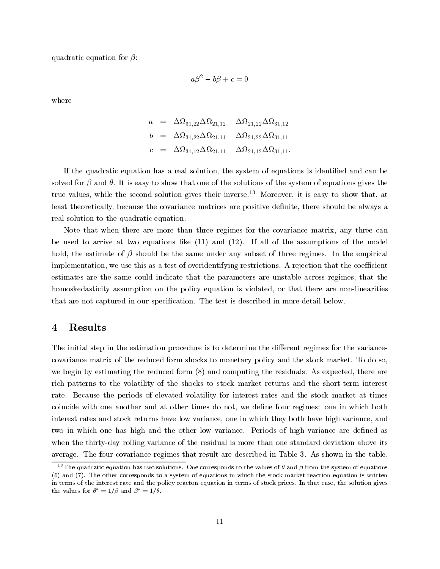quadratic equation for  $\beta$ :

$$
a\beta^2 - b\beta + c = 0
$$

where

$$
a = \Delta\Omega_{31,22}\Delta\Omega_{21,12} - \Delta\Omega_{21,22}\Delta\Omega_{31,12}
$$
  
\n
$$
b = \Delta\Omega_{31,22}\Delta\Omega_{21,11} - \Delta\Omega_{21,22}\Delta\Omega_{31,11}
$$
  
\n
$$
c = \Delta\Omega_{31,12}\Delta\Omega_{21,11} - \Delta\Omega_{21,12}\Delta\Omega_{31,11}.
$$

If the quadratic equation has a real solution, the system of equations is identified and can be solved for  $\beta$  and  $\theta$ . It is easy to show that one of the solutions of the system of equations gives the true values, while the second solution gives their inverse.<sup>13</sup> Moreover, it is easy to show that, at least theoretically, because the covariance matrices are positive definite, there should be always a real solution to the quadratic equation.

Note that when there are more than three regimes for the covariance matrix, any three can be used to arrive at two equations like (11) and (12). If all of the assumptions of the model hold, the estimate of  $\beta$  should be the same under any subset of three regimes. In the empirical implementation, we use this as a test of overidentifying restrictions. A rejection that the coefficient estimates are the same could indicate that the parameters are unstable across regimes, that the homoskedasticity assumption on the policy equation is violated, or that there are non-linearities that are not captured in our specication. The test is described in more detail below.

# 4Results

The initial step in the estimation procedure is to determine the different regimes for the variancecovariance matrix of the reduced form shocks to monetary policy and the stock market. To do so, we begin by estimating the reduced form (8) and computing the residuals. As expected, there are rich patterns to the volatility of the shocks to stock market returns and the short-term interest rate. Because the periods of elevated volatility for interest rates and the stock market at times coincide with one another and at other times do not, we define four regimes: one in which both interest rates and stock returns have low variance, one in which they both have high variance, and two in which one has high and the other low variance. Periods of high variance are dened as when the thirty-day rolling variance of the residual is more than one standard deviation above its average. The four covariance regimes that result are described in Table 3. As shown in the table,

 $^{13}$ The quadratic equation has two solutions. One corresponds to the values of  $\theta$  and  $\beta$  from the system of equations (6) and (7). The other corresponds to a system of equations in which the stock market reaction equation is written in terms of the interest rate and the policy reacton equation in terms of stock prices. In that case, the solution gives the values for  $\theta = 1/\beta$  and  $\beta = 1/\theta$ .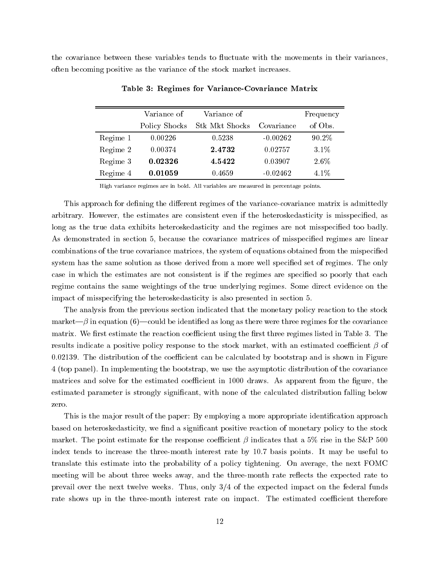the covariance between these variables tends to uctuate with the movements in their variances, often becoming positive as the variance of the stock market increases.

|          | Variance of   | Variance of    |            | Frequency |
|----------|---------------|----------------|------------|-----------|
|          | Policy Shocks | Stk Mkt Shocks | Covariance | of Obs.   |
| Regime 1 | 0.00226       | 0.5238         | $-0.00262$ | 90.2%     |
| Regime 2 | 0.00374       | 2.4732         | 0.02757    | $3.1\%$   |
| Regime 3 | 0.02326       | 4.5422         | 0.03907    | $2.6\%$   |
| Regime 4 | 0.01059       | 0.4659         | $-0.02462$ | $4.1\%$   |

Table 3: Regimes for Variance-Covariance Matrix

High variance regimes are in bold. All variables are measured in percentage points.

This approach for defining the different regimes of the variance-covariance matrix is admittedly arbitrary. However, the estimates are consistent even if the heteroskedasticity is misspecified, as long as the true data exhibits heteroskedasticity and the regimes are not misspecified too badly. As demonstrated in section 5, because the covariance matrices of misspecified regimes are linear combinations of the true covariance matrices, the system of equations obtained from the mispecied system has the same solution as those derived from a more well specified set of regimes. The only case in which the estimates are not consistent is if the regimes are specified so poorly that each regime contains the same weightings of the true underlying regimes. Some direct evidence on the impact of misspecifying the heteroskedasticity is also presented in section 5.

The analysis from the previous section indicated that the monetary policy reaction to the stock market— $\beta$  in equation (6)—could be identified as long as there were three regimes for the covariance matrix. We first estimate the reaction coefficient using the first three regimes listed in Table 3. The results indicate a positive policy response to the stock market, with an estimated coefficient  $\beta$  of  $0.02139$ . The distribution of the coefficient can be calculated by bootstrap and is shown in Figure 4 (top panel). In implementing the bootstrap, we use the asymptotic distribution of the covariance matrices and solve for the estimated coefficient in 1000 draws. As apparent from the figure, the estimated parameter is strongly signicant, with none of the calculated distribution falling below zero.

This is the major result of the paper: By employing a more appropriate identification approach based on heteroskedasticity, we find a significant positive reaction of monetary policy to the stock market. The point estimate for the response coefficient  $\beta$  indicates that a 5% rise in the S&P 500 index tends to increase the three-month interest rate by 10.7 basis points. It may be useful to translate this estimate into the probability of a policy tightening. On average, the next FOMC meeting will be about three weeks away, and the three-month rate reflects the expected rate to prevail over the next twelve weeks. Thus, only 3/4 of the expected impact on the federal funds rate shows up in the three-month interest rate on impact. The estimated coefficient therefore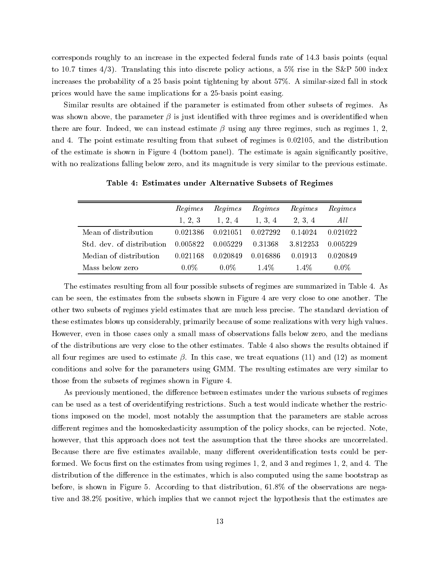corresponds roughly to an increase in the expected federal funds rate of 14.3 basis points (equal to 10.7 times 4/3). Translating this into discrete policy actions, a 5% rise in the S&P 500 index increases the probability of a 25 basis point tightening by about 57%. A similar-sized fall in stock prices would have the same implications for a 25-basis point easing.

Similar results are obtained if the parameter is estimated from other subsets of regimes. As was shown above, the parameter  $\beta$  is just identified with three regimes and is overidentified when there are four. Indeed, we can instead estimate  $\beta$  using any three regimes, such as regimes 1, 2. and 4. The point estimate resulting from that subset of regimes is 0.02105, and the distribution of the estimate is shown in Figure 4 (bottom panel). The estimate is again signicantly positive, with no realizations falling below zero, and its magnitude is very similar to the previous estimate.

|                           | Regimes  | Regimes  | Regimes  | Regimes  | Regimes  |
|---------------------------|----------|----------|----------|----------|----------|
|                           | 1, 2, 3  | 1, 2, 4  | 1, 3, 4  | 2, 3, 4  | All      |
| Mean of distribution      | 0.021386 | 0.021051 | 0.027292 | 0.14024  | 0.021022 |
| Std. dev. of distribution | 0.005822 | 0.005229 | 0.31368  | 3.812253 | 0.005229 |
| Median of distribution    | 0.021168 | 0.020849 | 0.016886 | 0.01913  | 0.020849 |
| Mass below zero           | $0.0\%$  | $0.0\%$  | 1.4\%    | $1.4\%$  | $0.0\%$  |

Table 4: Estimates under Alternative Subsets of Regimes

The estimates resulting from all four possible subsets of regimes are summarized in Table 4. As can be seen, the estimates from the subsets shown in Figure 4 are very close to one another. The other two subsets of regimes yield estimates that are much less precise. The standard deviation of these estimates blows up considerably, primarily because of some realizations with very high values. However, even in those cases only a small mass of observations falls below zero, and the medians of the distributions are very close to the other estimates. Table 4 also shows the results obtained if all four regimes are used to estimate  $\beta$ . In this case, we treat equations (11) and (12) as moment conditions and solve for the parameters using GMM. The resulting estimates are very similar to those from the subsets of regimes shown in Figure 4.

As previously mentioned, the difference between estimates under the various subsets of regimes can be used as a test of overidentifying restrictions. Such a test would indicate whether the restrictions imposed on the model, most notably the assumption that the parameters are stable across different regimes and the homoskedasticity assumption of the policy shocks, can be rejected. Note, however, that this approach does not test the assumption that the three shocks are uncorrelated. Because there are five estimates available, many different overidentification tests could be performed. We focus first on the estimates from using regimes 1, 2, and 3 and regimes 1, 2, and 4. The distribution of the difference in the estimates, which is also computed using the same bootstrap as before, is shown in Figure 5. According to that distribution, 61.8% of the observations are negative and 38.2% positive, which implies that we cannot reject the hypothesis that the estimates are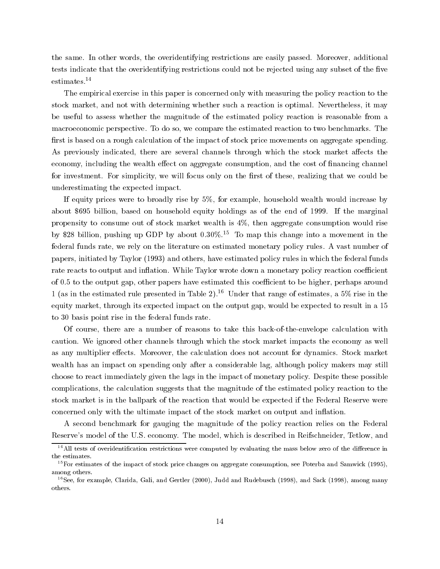the same. In other words, the overidentifying restrictions are easily passed. Moreover, additional tests indicate that the overidentifying restrictions could not be rejected using any subset of the five estimates.<sup>14</sup>

The empirical exercise in this paper is concerned only with measuring the policy reaction to the stock market, and not with determining whether such a reaction is optimal. Nevertheless, it may be useful to assess whether the magnitude of the estimated policy reaction is reasonable from a macroeconomic perspective. To do so, we compare the estimated reaction to two benchmarks. The first is based on a rough calculation of the impact of stock price movements on aggregate spending. As previously indicated, there are several channels through which the stock market affects the economy, including the wealth effect on aggregate consumption, and the cost of financing channel for investment. For simplicity, we will focus only on the first of these, realizing that we could be underestimating the expected impact.

If equity prices were to broadly rise by 5%, for example, household wealth would increase by about \$695 billion, based on household equity holdings as of the end of 1999. If the marginal propensity to consume out of stock market wealth is 4%, then aggregate consumption would rise by \$28 billion, pushing up GDP by about  $0.30\%$ .<sup>15</sup> To map this change into a movement in the federal funds rate, we rely on the literature on estimated monetary policy rules. A vast number of papers, initiated by Taylor (1993) and others, have estimated policy rules in which the federal funds rate reacts to output and inflation. While Taylor wrote down a monetary policy reaction coefficient of 0.5 to the output gap, other papers have estimated this coefficient to be higher, perhaps around 1 (as in the estimated rule presented in Table 2).<sup>16</sup> Under that range of estimates, a 5% rise in the equity market, through its expected impact on the output gap, would be expected to result in a 15 to 30 basis point rise in the federal funds rate.

Of course, there are a number of reasons to take this back-of-the-envelope calculation with caution. We ignored other channels through which the stock market impacts the economy as well as any multiplier effects. Moreover, the calculation does not account for dynamics. Stock market wealth has an impact on spending only after a considerable lag, although policy makers may still choose to react immediately given the lags in the impact of monetary policy. Despite these possible complications, the calculation suggests that the magnitude of the estimated policy reaction to the stock market is in the ballpark of the reaction that would be expected if the Federal Reserve were concerned only with the ultimate impact of the stock market on output and in
ation.

A second benchmark for gauging the magnitude of the policy reaction relies on the Federal Reserve's model of the U.S. economy. The model, which is described in Reifschneider, Tetlow, and

 $14$ All tests of overidentification restrictions were computed by evaluating the mass below zero of the difference in the estimates.

<sup>&</sup>lt;sup>15</sup>For estimates of the impact of stock price changes on aggregate consumption, see Poterba and Samwick (1995), among others.

<sup>&</sup>lt;sup>16</sup>See, for example, Clarida, Gali, and Gertler (2000), Judd and Rudebusch (1998), and Sack (1998), among many others.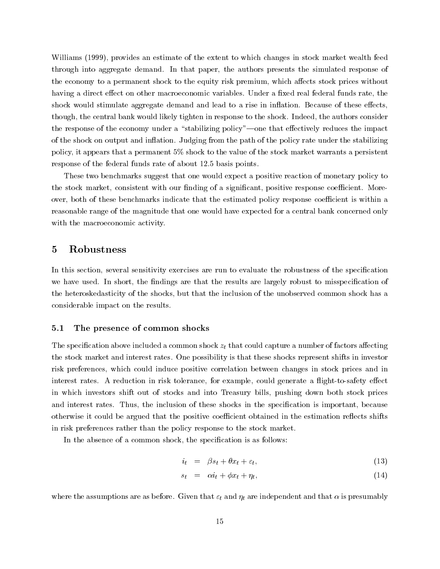Williams (1999), provides an estimate of the extent to which changes in stock market wealth feed through into aggregate demand. In that paper, the authors presents the simulated response of the economy to a permanent shock to the equity risk premium, which affects stock prices without having a direct effect on other macroeconomic variables. Under a fixed real federal funds rate, the shock would stimulate aggregate demand and lead to a rise in inflation. Because of these effects, though, the central bank would likely tighten in response to the shock. Indeed, the authors consider the response of the economy under a "stabilizing policy"—one that effectively reduces the impact of the shock on output and in
ation. Judging from the path of the policy rate under the stabilizing policy, it appears that a permanent 5% shock to the value of the stock market warrants a persistent response of the federal funds rate of about 12.5 basis points.

These two benchmarks suggest that one would expect a positive reaction of monetary policy to the stock market, consistent with our finding of a significant, positive response coefficient. Moreover, both of these benchmarks indicate that the estimated policy response coefficient is within a reasonable range of the magnitude that one would have expected for a central bank concerned only with the macroeconomic activity.

## 5Robustness

In this section, several sensitivity exercises are run to evaluate the robustness of the specification we have used. In short, the findings are that the results are largely robust to misspecification of the heteroskedasticity of the shocks, but that the inclusion of the unobserved common shock has a considerable impact on the results.

#### 5.1The presence of common shocks

The specification above included a common shock  $\alpha$  could capture a number of factors at  $\alpha$  and  $\alpha$  are  $\alpha$ the stock market and interest rates. One possibility is that these shocks represent shifts in investor risk preferences, which could induce positive correlation between changes in stock prices and in interest rates. A reduction in risk tolerance, for example, could generate a flight-to-safety effect in which investors shift out of stocks and into Treasury bills, pushing down both stock prices and interest rates. Thus, the inclusion of these shocks in the specication is important, because otherwise it could be argued that the positive coefficient obtained in the estimation reflects shifts in risk preferences rather than the policy response to the stock market.

In the absence of a common shock, the specification is as follows:

$$
i_t = \beta s_t + \theta x_t + \varepsilon_t, \tag{13}
$$

$$
s_t = \alpha i_t + \phi x_t + \eta_t, \tag{14}
$$

where the assumptions are as before that  $\alpha$  and the independent  $\alpha$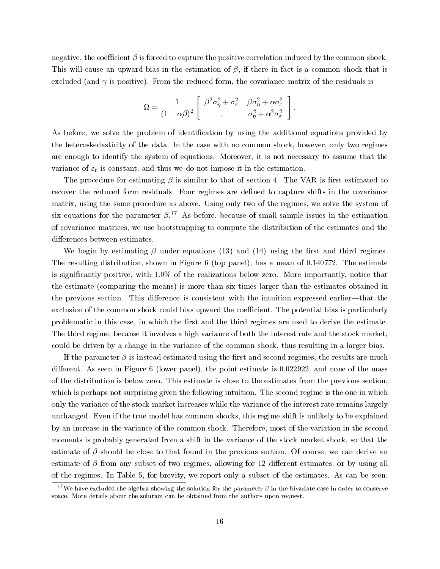negative, the coefficient  $\beta$  is forced to capture the positive correlation induced by the common shock. This will cause an upward bias in the estimation of  $\beta$ , if there in fact is a common shock that is excluded (and  $\gamma$  is positive). From the reduced form, the covariance matrix of the residuals is

$$
\Omega = \frac{1}{\left(1 - \alpha \beta\right)^2} \left[ \begin{array}{cc} \beta^2 \sigma_\eta^2 + \sigma_\varepsilon^2 & \beta \sigma_\eta^2 + \alpha \sigma_\varepsilon^2 \\ . & \sigma_\eta^2 + \alpha^2 \sigma_\varepsilon^2 \end{array} \right].
$$

As before, we solve the problem of identification by using the additional equations provided by the heteroskedasticity of the data. In the case with no common shock, however, only two regimes are enough to identify the system of equations. Moreover, it is not necessary to assume that the variance of "t is constant, and thus we do not impose it in the estimation.

The procedure for estimating  $\beta$  is similar to that of section 4. The VAR is first estimated to recover the reduced form residuals. Four regimes are defined to capture shifts in the covariance matrix, using the same procedure as above. Using only two of the regimes, we solve the system of six equations for the parameter  $\beta$ .<sup>17</sup> As before, because of small sample issues in the estimation of covariance matrices, we use bootstrapping to compute the distribution of the estimates and the differences between estimates.

We begin by estimating  $\beta$  under equations (13) and (14) using the first and third regimes. The resulting distribution, shown in Figure 6 (top panel), has a mean of 0.140772. The estimate is signicantly positive, with 1.0% of the realizations below zero. More importantly, notice that the estimate (comparing the means) is more than six times larger than the estimates obtained in the previous section. This difference is consistent with the intuition expressed earlier—that the exclusion of the common shock could bias upward the coefficient. The potential bias is particularly problematic in this case, in which the first and the third regimes are used to derive the estimate. The third regime, because it involves a high variance of both the interest rate and the stock market, could be driven by a change in the variance of the common shock, thus resulting in a larger bias.

If the parameter  $\beta$  is instead estimated using the first and second regimes, the results are much different. As seen in Figure 6 (lower panel), the point estimate is  $0.022922$ , and none of the mass of the distribution is below zero. This estimate is close to the estimates from the previous section, which is perhaps not surprising given the following intuition. The second regime is the one in which only the variance of the stock market increases while the variance of the interest rate remains largely unchanged. Even if the true model has common shocks, this regime shift is unlikely to be explained by an increase in the variance of the common shock. Therefore, most of the variation in the second moments is probably generated from a shift in the variance of the stock market shock, so that the estimate of  $\beta$  should be close to that found in the previous section. Of course, we can derive an estimate of  $\beta$  from any subset of two regimes, allowing for 12 different estimates, or by using all of the regimes. In Table 5, for brevity, we report only a subset of the estimates. As can be seen,

<sup>&</sup>lt;sup>17</sup>We have excluded the algebra showing the solution for the parameter  $\beta$  in the bivariate case in order to conserve space. More details about the solution can be obtained from the authors upon request.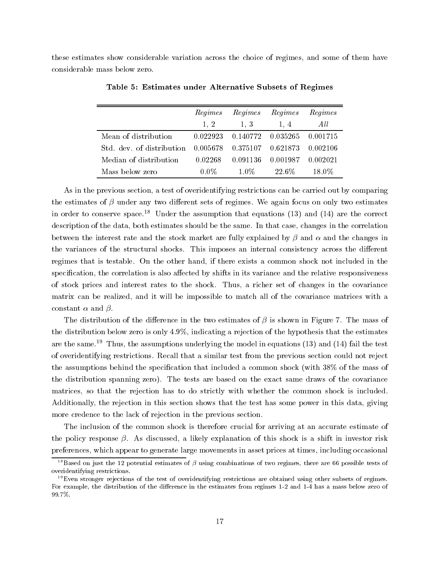these estimates show considerable variation across the choice of regimes, and some of them have considerable mass below zero.

|                                                            | Regimes  |                                  | Regimes Regimes | Regimes     |
|------------------------------------------------------------|----------|----------------------------------|-----------------|-------------|
|                                                            | 1, 2     | 1, 3                             | 1, 4            | All         |
| Mean of distribution                                       | 0.022923 | $0.140772$ $0.035265$ $0.001715$ |                 |             |
| Std. dev. of distribution $0.005678$ $0.375107$ $0.621873$ |          |                                  |                 | $-0.002106$ |
| Median of distribution                                     | 0.02268  | 0.091136                         | 0.001987        | 0.002021    |
| Mass below zero                                            | $0.0\%$  | $1.0\%$                          | $22.6\%$        | $18.0\%$    |

Table 5: Estimates under Alternative Subsets of Regimes

As in the previous section, a test of overidentifying restrictions can be carried out by comparing the estimates of  $\beta$  under any two different sets of regimes. We again focus on only two estimates in order to conserve space.<sup>18</sup> Under the assumption that equations (13) and (14) are the correct description of the data, both estimates should be the same. In that case, changes in the correlation between the interest rate and the stock market are fully explained by  $\beta$  and  $\alpha$  and the changes in the variances of the structural shocks. This imposes an internal consistency across the different regimes that is testable. On the other hand, if there exists a common shock not included in the specification, the correlation is also affected by shifts in its variance and the relative responsiveness of stock prices and interest rates to the shock. Thus, a richer set of changes in the covariance matrix can be realized, and it will be impossible to match all of the covariance matrices with a constant  $\alpha$  and  $\beta$ .

The distribution of the difference in the two estimates of  $\beta$  is shown in Figure 7. The mass of the distribution below zero is only 4.9%, indicating a rejection of the hypothesis that the estimates are the same.<sup>19</sup> Thus, the assumptions underlying the model in equations (13) and (14) fail the test of overidentifying restrictions. Recall that a similar test from the previous section could not reject the assumptions behind the specication that included a common shock (with 38% of the mass of the distribution spanning zero). The tests are based on the exact same draws of the covariance matrices, so that the rejection has to do strictly with whether the common shock is included. Additionally, the rejection in this section shows that the test has some power in this data, giving more credence to the lack of rejection in the previous section.

The inclusion of the common shock is therefore crucial for arriving at an accurate estimate of the policy response  $\beta$ . As discussed, a likely explanation of this shock is a shift in investor risk preferences, which appear to generate large movements in asset prices at times, including occasional

<sup>&</sup>lt;sup>18</sup>Based on just the 12 potential estimates of  $\beta$  using combinations of two regimes, there are 66 possible tests of overidentifying restrictions.

 $19$ Even stronger rejections of the test of overidentifying restrictions are obtained using other subsets of regimes. For example, the distribution of the difference in the estimates from regimes 1-2 and 1-4 has a mass below zero of 99.7%.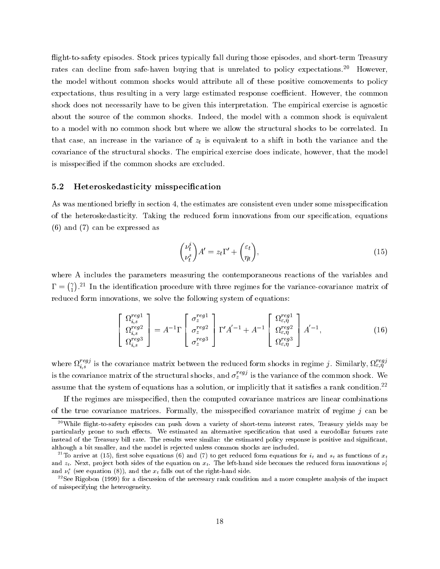flight-to-safety episodes. Stock prices typically fall during those episodes, and short-term Treasury rates can decline from safe-haven buying that is unrelated to policy expectations.<sup>20</sup> However, the model without common shocks would attribute all of these positive comovements to policy expectations, thus resulting in a very large estimated response coefficient. However, the common shock does not necessarily have to be given this interpretation. The empirical exercise is agnostic about the source of the common shocks. Indeed, the model with a common shock is equivalent to a model with no common shock but where we allow the structural shocks to be correlated. In that case, and increase in the variance of  $\mathcal{U}$ covariance of the structural shocks. The empirical exercise does indicate, however, that the model is misspecied if the common shocks are excluded.

#### 5.2Heteroskedasticity misspecification

As was mentioned briefly in section 4, the estimates are consistent even under some misspecification of the heteroskedasticity. Taking the reduced form innovations from our specification, equations (6) and (7) can be expressed as

$$
\begin{pmatrix} \nu_t^i \\ \nu_t^s \end{pmatrix} A' = z_t \Gamma' + \begin{pmatrix} \varepsilon_t \\ \eta_t \end{pmatrix},\tag{15}
$$

where A includes the parameters measuring the contemporaneous reactions of the variables and  $\Gamma = \binom{\gamma}{1}$ . In the identification procedure with three regimes for the variance-covariance matrix of reduced form innovations, we solve the following system of equations:

$$
\begin{bmatrix}\n\Omega_{i,s}^{reg1} \\
\Omega_{i,s}^{reg2} \\
\Omega_{i,s}^{reg3}\n\end{bmatrix} = A^{-1} \Gamma \begin{bmatrix}\n\sigma_z^{reg1} \\
\sigma_z^{reg2} \\
\sigma_z^{reg3}\n\end{bmatrix} \Gamma' A'^{-1} + A^{-1} \begin{bmatrix}\n\Omega_{\varepsilon,\eta}^{reg1} \\
\Omega_{\varepsilon,\eta}^{reg2} \\
\Omega_{\varepsilon,\eta}^{reg3}\n\end{bmatrix} A'^{-1},
$$
\n(16)

where  $\Omega_{i,s}^{r,s,r}$  is the covariance matrix between the reduced form shocks in regime j. Similarly,  $\Omega_{\varepsilon,\eta}^{r,s,r}$  $\sim$  . is the covariance matrix of the structural shocks, and  $\sigma_z^{c, s_J}$  is the variance of the common shock. We assume that the system of equations has a solution, or implicitly that it satisfies a rank condition.<sup>22</sup>

If the regimes are misspecied, then the computed covariance matrices are linear combinations of the true covariance matrices. Formally, the misspecified covariance matrix of regime  $j$  can be

 $^{20}$ While flight-to-safety episodes can push down a variety of short-term interest rates, Treasury yields may be particularly prone to such effects. We estimated an alternative specification that used a eurodollar futures rate instead of the Treasury bill rate. The results were similar: the estimated policy response is positive and signicant, although a bit smaller, and the model is rejected unless common shocks are included.

<sup>&</sup>lt;sup>21</sup>To arrive at (15), first solve equations (6) and (7) to get reduced form equations for  $i_t$  and  $s_t$  as functions of  $x_t$ and  $z_t$ . Next, project both sides of the equation on  $x_t$ . The left-hand side becomes the reduced form innovations  $\nu_t^i$  $\dot{t}$ and  $\nu_{\bar{t}}$  (see equation (8)), and the  $x_t$  falls out of the right-hand side.

<sup>&</sup>lt;sup>22</sup>See Rigobon (1999) for a discussion of the necessary rank condition and a more complete analysis of the impact of misspecifying the heterogeneity.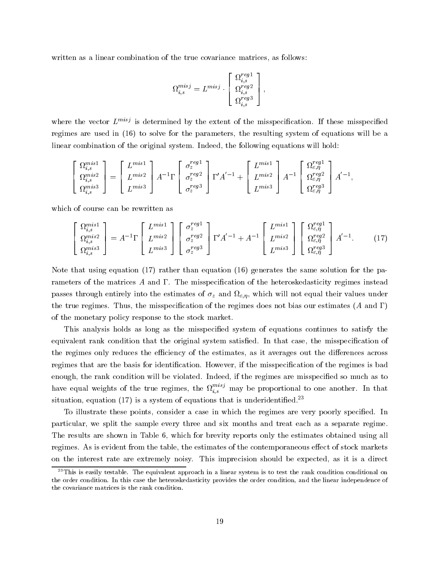written as a linear combination of the true covariance matrices, as follows:

$$
\Omega_{i,s}^{misj} = L^{misj} \cdot \left[ \begin{array}{c} \Omega_{i,s}^{reg1} \\ \Omega_{i,s}^{reg2} \\ \Omega_{i,s}^{reg3} \end{array} \right],
$$

where the vector  $L^{misj}$  is determined by the extent of the misspecification. If these misspecified regimes are used in (16) to solve for the parameters, the resulting system of equations will be a linear combination of the original system. Indeed, the following equations will hold:

$$
\left[\begin{array}{c} \Omega_{i,s}^{mis1}\\ \Omega_{i,s}^{mis2}\\ \Omega_{i,s}^{mis3} \end{array}\right] = \left[\begin{array}{c} L^{mis1}\\ L^{mis2}\\ L^{mis3} \end{array}\right]A^{-1}\Gamma\left[\begin{array}{c} \sigma_z^{reg1}\\ \sigma_z^{reg2}\\ \sigma_z^{reg3} \end{array}\right]\Gamma'A^{'-1} + \left[\begin{array}{c} L^{mis1}\\ L^{mis2}\\ L^{mis3} \end{array}\right]A^{-1}\left[\begin{array}{c} \Omega_{\varepsilon,\eta}^{reg1}\\ \Omega_{\varepsilon,\eta}^{reg2}\\ \Omega_{\varepsilon,\eta}^{reg3} \end{array}\right]A^{'-1},
$$

which of course can be rewritten as

$$
\begin{bmatrix}\n\Omega_{i,s}^{mis1} \\
\Omega_{i,s}^{mis2} \\
\Omega_{i,s}^{mis3}\n\end{bmatrix} = A^{-1} \Gamma \begin{bmatrix}\nL^{mis1} \\
L^{mis2} \\
L^{mis3}\n\end{bmatrix} \begin{bmatrix}\n\sigma_z^{reg1} \\
\sigma_z^{reg2} \\
\sigma_z^{reg3}\n\end{bmatrix} \Gamma' A'^{-1} + A^{-1} \begin{bmatrix}\nL^{mis1} \\
L^{mis2} \\
L^{mis3}\n\end{bmatrix} \begin{bmatrix}\n\Omega_{\varepsilon,\eta}^{reg1} \\
\Omega_{\varepsilon,\eta}^{reg2} \\
\Omega_{\varepsilon,\eta}^{reg3}\n\end{bmatrix} A'^{-1}.
$$
\n(17)

Note that using equation (17) rather than equation (16) generates the same solution for the parameters of the matrices A and  $\Gamma$ . The misspecification of the heteroskedasticity regimes instead  ${\bf p}$  and the entirely into the estimates of  $z$  and  $\epsilon_{\rm v}(q)$  which will not equal the extreme and  $\epsilon_{\rm v}$ the true regimes. Thus, the misspecification of the regimes does not bias our estimates  $(A \text{ and } \Gamma)$ of the monetary policy response to the stock market.

This analysis holds as long as the misspecied system of equations continues to satisfy the equivalent rank condition that the original system satisfied. In that case, the misspecification of the regimes only reduces the efficiency of the estimates, as it averages out the differences across regimes that are the basis for identification. However, if the misspecification of the regimes is bad enough, the rank condition will be violated. Indeed, if the regimes are misspecified so much as to have equal weights of the true regimes, the  $\Omega_i$  may  $i,s$  is a proportional to one another. In the same  $i$ situation, equation (17) is a system of equations that is underidentified.<sup>23</sup>

To illustrate these points, consider a case in which the regimes are very poorly specied. In particular, we split the sample every three and six months and treat each as a separate regime. The results are shown in Table 6, which for brevity reports only the estimates obtained using all regimes. As is evident from the table, the estimates of the contemporaneous effect of stock markets on the interest rate are extremely noisy. This imprecision should be expected, as it is a direct

 $^{23}$ This is easily testable. The equivalent approach in a linear system is to test the rank condition conditional on the order condition. In this case the heteroskedasticity provides the order condition, and the linear independence of the covariance matrices is the rank condition.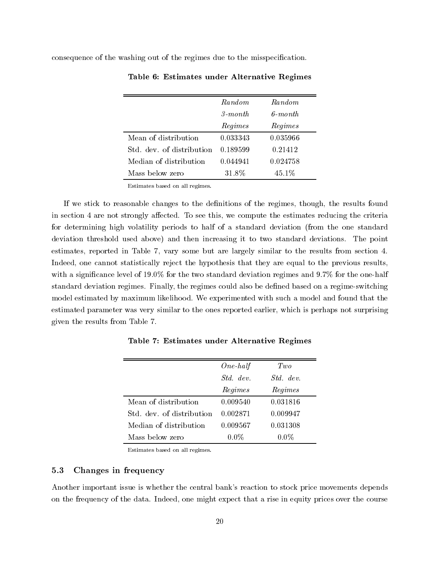consequence of the washing out of the regimes due to the misspecication.

Table 6: Estimates under Alternative Regimes

Estimates based on all regimes.

If we stick to reasonable changes to the definitions of the regimes, though, the results found in section 4 are not strongly affected. To see this, we compute the estimates reducing the criteria for determining high volatility periods to half of a standard deviation (from the one standard deviation threshold used above) and then increasing it to two standard deviations. The point estimates, reported in Table 7, vary some but are largely similar to the results from section 4. Indeed, one cannot statistically reject the hypothesis that they are equal to the previous results, with a significance level of 19.0% for the two standard deviation regimes and 9.7% for the one-half standard deviation regimes. Finally, the regimes could also be dened based on a regime-switching model estimated by maximum likelihood. We experimented with such a model and found that the estimated parameter was very similar to the ones reported earlier, which is perhaps not surprising given the results from Table 7.

|                           | $One-half$ | Two       |
|---------------------------|------------|-----------|
|                           | Std. dev.  | Std. dev. |
|                           | Regimes    | Regimes   |
| Mean of distribution      | 0.009540   | 0.031816  |
| Std. dev. of distribution | 0.002871   | 0.009947  |
| Median of distribution    | 0.009567   | 0.031308  |
| Mass below zero           | $0.0\%$    | $0.0\%$   |

Table 7: Estimates under Alternative Regimes

Estimates based on all regimes.

#### 5.3Changes in frequency

Another important issue is whether the central bank's reaction to stock price movements depends on the frequency of the data. Indeed, one might expect that a rise in equity prices over the course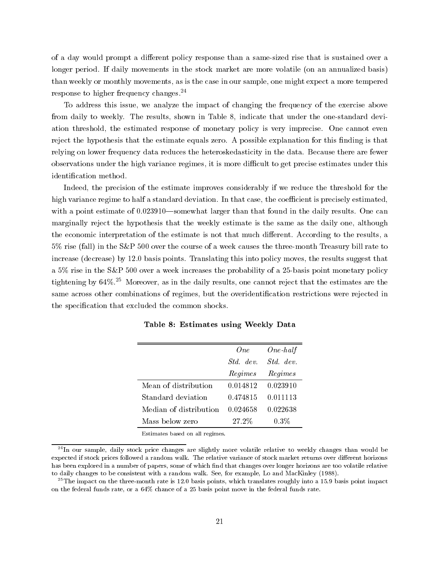of a day would prompt a different policy response than a same-sized rise that is sustained over a longer period. If daily movements in the stock market are more volatile (on an annualized basis) than weekly or monthly movements, as is the case in our sample, one might expect a more tempered response to higher frequency changes.24

To address this issue, we analyze the impact of changing the frequency of the exercise above from daily to weekly. The results, shown in Table 8, indicate that under the one-standard deviation threshold, the estimated response of monetary policy is very imprecise. One cannot even reject the hypothesis that the estimate equals zero. A possible explanation for this finding is that relying on lower frequency data reduces the heteroskedasticity in the data. Because there are fewer observations under the high variance regimes, it is more difficult to get precise estimates under this identication method.

Indeed, the precision of the estimate improves considerably if we reduce the threshold for the high variance regime to half a standard deviation. In that case, the coefficient is precisely estimated, with a point estimate of  $0.023910$ —somewhat larger than that found in the daily results. One can marginally reject the hypothesis that the weekly estimate is the same as the daily one, although the economic interpretation of the estimate is not that much different. According to the results, a 5% rise (fall) in the S&P 500 over the course of a week causes the three-month Treasury bill rate to increase (decrease) by 12.0 basis points. Translating this into policy moves, the results suggest that a 5% rise in the S&P 500 over a week increases the probability of a 25-basis point monetary policy tightening by 64%.25 Moreover, as in the daily results, one cannot reject that the estimates are the same across other combinations of regimes, but the overidentification restrictions were rejected in the specication that excluded the common shocks.

|                        | <i>One</i> | $One-half$ |
|------------------------|------------|------------|
|                        | Std. dev.  | Std. dev.  |
|                        | Regimes    | Regimes    |
| Mean of distribution   | 0.014812   | 0.023910   |
| Standard deviation     | 0.474815   | 0.011113   |
| Median of distribution | 0.024658   | 0.022638   |
| Mass below zero        | 27.2\%     | $0.3\%$    |

Table 8: Estimates using Weekly Data

Estimates based on all regimes.

<sup>24</sup> In our sample, daily stock price changes are slightly more volatile relative to weekly changes than would be expected if stock prices followed a random walk. The relative variance of stock market returns over different horizons has been explored in a number of papers, some of which find that changes over longer horizons are too volatile relative to daily changes to be consistent with a random walk. See, for example, Lo and MacKinley (1988).

 $^{25}\text{The impact on the three-month rate is 12.0 basis points, which translates roughly into a 15.9 basis point impact.}$ on the federal funds rate, or a 64% chance of a 25 basis point move in the federal funds rate.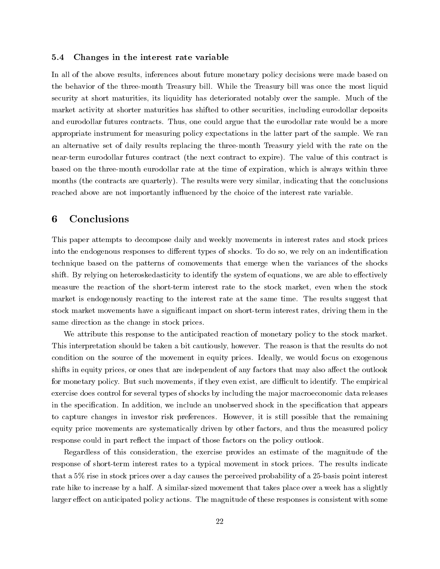#### 5.4Changes in the interest rate variable

In all of the above results, inferences about future monetary policy decisions were made based on the behavior of the three-month Treasury bill. While the Treasury bill was once the most liquid security at short maturities, its liquidity has deteriorated notably over the sample. Much of the market activity at shorter maturities has shifted to other securities, including eurodollar deposits and eurodollar futures contracts. Thus, one could argue that the eurodollar rate would be a more appropriate instrument for measuring policy expectations in the latter part of the sample. We ran an alternative set of daily results replacing the three-month Treasury yield with the rate on the near-term eurodollar futures contract (the next contract to expire). The value of this contract is based on the three-month eurodollar rate at the time of expiration, which is always within three months (the contracts are quarterly). The results were very similar, indicating that the conclusions reached above are not importantly influenced by the choice of the interest rate variable.

# 6**Conclusions**

This paper attempts to decompose daily and weekly movements in interest rates and stock prices into the endogenous responses to different types of shocks. To do so, we rely on an indentification technique based on the patterns of comovements that emerge when the variances of the shocks shift. By relying on heteroskedasticity to identify the system of equations, we are able to effectively measure the reaction of the short-term interest rate to the stock market, even when the stock market is endogenously reacting to the interest rate at the same time. The results suggest that stock market movements have a signicant impact on short-term interest rates, driving them in the same direction as the change in stock prices.

We attribute this response to the anticipated reaction of monetary policy to the stock market. This interpretation should be taken a bit cautiously, however. The reason is that the results do not condition on the source of the movement in equity prices. Ideally, we would focus on exogenous shifts in equity prices, or ones that are independent of any factors that may also affect the outlook for monetary policy. But such movements, if they even exist, are difficult to identify. The empirical exercise does control for several types of shocks by including the major macroeconomic data releases in the specication. In addition, we include an unobserved shock in the specication that appears to capture changes in investor risk preferences. However, it is still possible that the remaining equity price movements are systematically driven by other factors, and thus the measured policy response could in part reflect the impact of those factors on the policy outlook.

Regardless of this consideration, the exercise provides an estimate of the magnitude of the response of short-term interest rates to a typical movement in stock prices. The results indicate that a 5% rise in stock prices over a day causes the perceived probability of a 25-basis point interest rate hike to increase by a half. A similar-sized movement that takes place over a week has a slightly larger effect on anticipated policy actions. The magnitude of these responses is consistent with some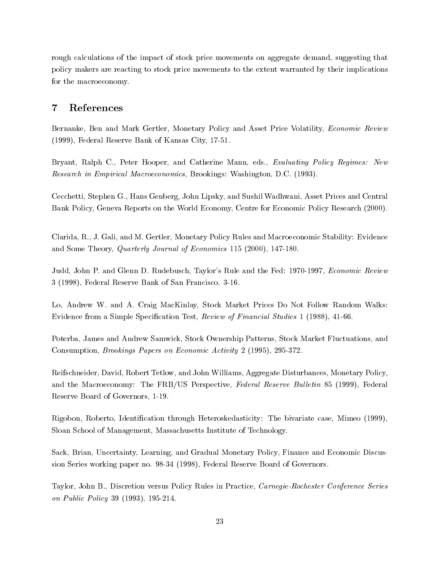rough calculations of the impact of stock price movements on aggregate demand, suggesting that policy makers are reacting to stock price movements to the extent warranted by their implications for the macroeconomy.

#### $\overline{7}$  References 7

Bernanke, Ben and Mark Gertler, Monetary Policy and Asset Price Volatility, *Economic Review* (1999), Federal Reserve Bank of Kansas City, 17-51.

Bryant, Ralph C., Peter Hooper, and Catherine Mann, eds., Evaluating Policy Regimes: New Research in Empirical Macroeconomics, Brookings: Washington, D.C. (1993).

Cecchetti, Stephen G., Hans Genberg, John Lipsky, and Sushil Wadhwani, Asset Prices and Central Bank Policy, Geneva Reports on the World Economy, Centre for Economic Policy Research (2000).

Clarida, R., J. Gali, and M. Gertler, Monetary Policy Rules and Macroeconomic Stability: Evidence and Some Theory, Quarterly Journal of Economics 115 (2000), 147-180.

Judd, John P. and Glenn D. Rudebusch, Taylor's Rule and the Fed: 1970-1997, Economic Review 3 (1998), Federal Reserve Bank of San Francisco. 3-16.

Lo, Andrew W. and A. Craig MacKinlay, Stock Market Prices Do Not Follow Random Walks: Evidence from a Simple Specication Test, Review of Financial Studies 1 (1988), 41-66.

Poterba, James and Andrew Samwick, Stock Ownership Patterns, Stock Market Fluctuations, and Consumption, Brookings Papers on Economic Activity 2 (1995), 295-372.

Reifschneider, David, Robert Tetlow, and John Williams, Aggregate Disturbances, Monetary Policy, and the Macroeconomy: The FRB/US Perspective, Federal Reserve Bulletin 85 (1999), Federal Reserve Board of Governors, 1-19.

Rigobon, Roberto, Identification through Heteroskedasticity: The bivariate case, Mimeo (1999), Sloan School of Management, Massachusetts Institute of Technology.

Sack, Brian, Uncertainty, Learning, and Gradual Monetary Policy, Finance and Economic Discussion Series working paper no. 98-34 (1998), Federal Reserve Board of Governors.

Taylor, John B., Discretion versus Policy Rules in Practice, Carnegie-Rochester Conference Series on Public Policy 39 (1993), 195-214.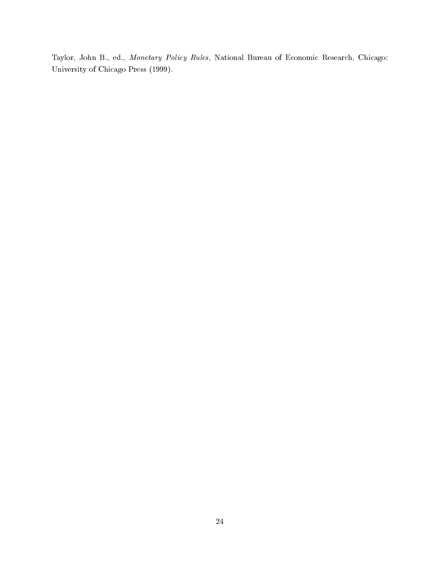Taylor, John B., ed., Monetary Policy Rules, National Bureau of Economic Research, Chicago: University of Chicago Press (1999).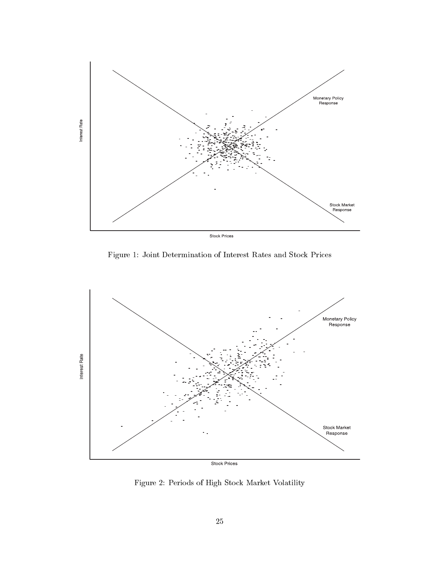

Figure 1: Joint Determination of Interest Rates and Stock Prices



Figure 2: Periods of High Stock Market Volatility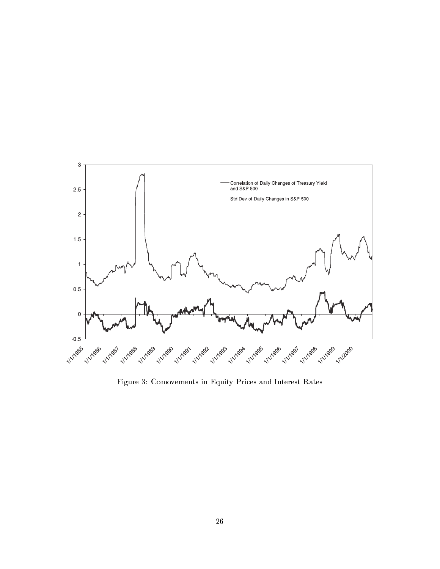

Figure 3: Comovements in Equity Prices and Interest Rates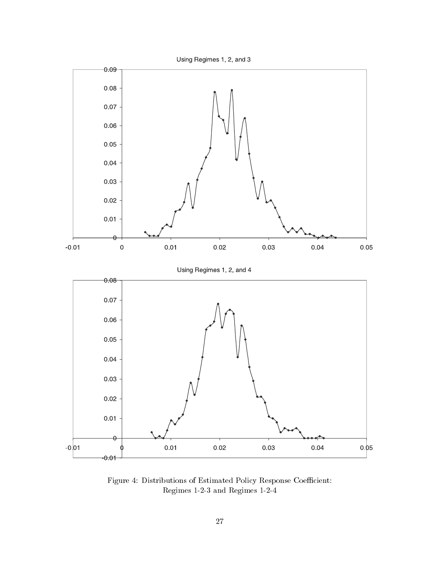

Figure 4: Distributions of Estimated Policy Response Coefficient: Regimes 1-2-3 and Regimes 1-2-4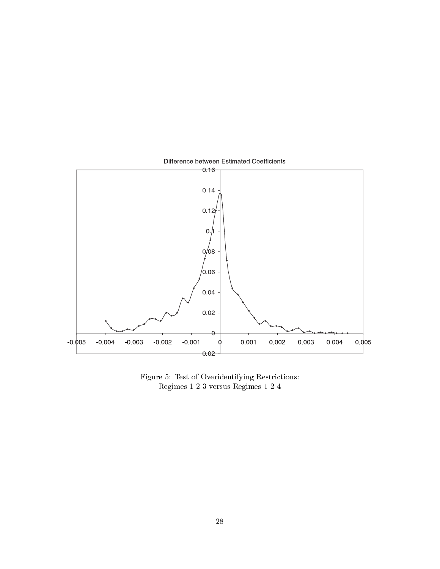

Difference between Estimated Coefficients

Figure 5: Test of Overidentifying Restrictions: Regimes 1-2-3 versus Regimes 1-2-4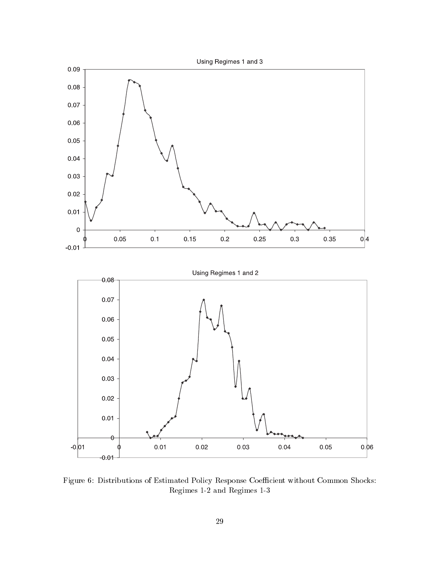

Figure 6: Distributions of Estimated Policy Response Coefficient without Common Shocks: Regimes 1-2 and Regimes 1-3